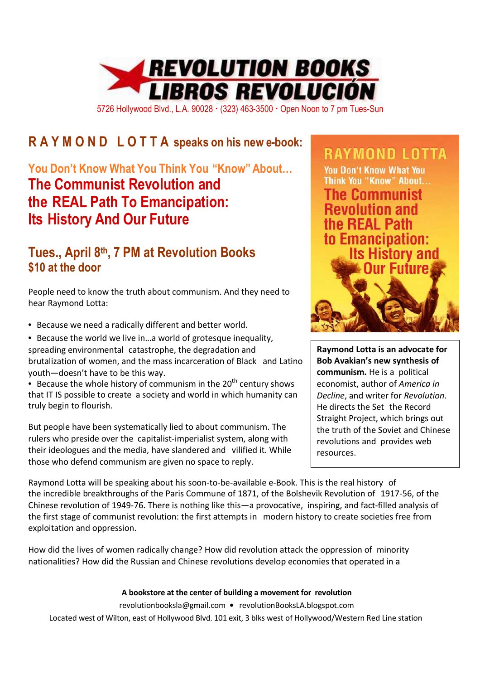

5726 Hollywood Blvd., L.A. 90028 (323) 463-3500 Open Noon to 7 pm Tues-Sun

# **R A Y M O N D L O T T A speaks on his new e-book:**

## **You Don't Know What You Think You "Know" About… The Communist Revolution and the REAL Path To Emancipation: Its History And Our Future**

### **Tues., April 8th, 7 PM at Revolution Books \$10 at the door**

People need to know the truth about communism. And they need to hear Raymond Lotta:

• Because we need a radically different and better world.

• Because the world we live in…a world of grotesque inequality, spreading environmental catastrophe, the degradation and brutalization of women, and the mass incarceration of Black and Latino youth—doesn't have to be this way.

• Because the whole history of communism in the  $20<sup>th</sup>$  century shows that IT IS possible to create a society and world in which humanity can truly begin to flourish.

But people have been systematically lied to about communism. The rulers who preside over the capitalist-imperialist system, along with their ideologues and the media, have slandered and vilified it. While those who defend communism are given no space to reply.

**RAYMOND LOTTA You Don't Know What You** Think You "Know" About... **The Communist Revolution and** the REAL Path to Emancipation: **Its History and** Our Eufure

**Raymond Lotta is an advocate for Bob Avakian's new synthesis of communism.** He is a political economist, author of *America in Decline*, and writer for *Revolution*. He directs the Set the Record Straight Project, which brings out the truth of the Soviet and Chinese revolutions and provides web resources.

Raymond Lotta will be speaking about his soon-to-be-available e-Book. This is the real history of the incredible breakthroughs of the Paris Commune of 1871, of the Bolshevik Revolution of 1917-56, of the Chinese revolution of 1949-76. There is nothing like this—a provocative, inspiring, and fact-filled analysis of the first stage of communist revolution: the first attempts in modern history to create societies free from exploitation and oppression.

How did the lives of women radically change? How did revolution attack the oppression of minority nationalities? How did the Russian and Chinese revolutions develop economies that operated in a

#### **A bookstore at the center of building a movement for revolution**

revolutionbooksla@gmail.com **•** revolutionBooksLA.blogspot.com Located west of Wilton, east of Hollywood Blvd. 101 exit, 3 blks west of Hollywood/Western Red Line station